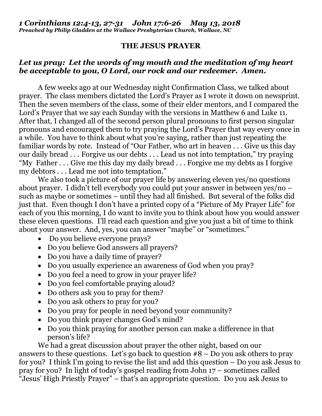## **THE JESUS PRAYER**

## *Let us pray: Let the words of my mouth and the meditation of my heart be acceptable to you, O Lord, our rock and our redeemer. Amen.*

A few weeks ago at our Wednesday night Confirmation Class, we talked about prayer. The class members dictated the Lord's Prayer as I wrote it down on newsprint. Then the seven members of the class, some of their elder mentors, and I compared the Lord's Prayer that we say each Sunday with the versions in Matthew 6 and Luke 11. After that, I changed all of the second person plural pronouns to first person singular pronouns and encouraged them to try praying the Lord's Prayer that way every once in a while. You have to think about what you're saying, rather than just repeating the familiar words by rote. Instead of "Our Father, who art in heaven . . . Give us this day our daily bread . . . Forgive us our debts . . . Lead us not into temptation," try praying "My Father . . . Give me this day my daily bread . . . Forgive me my debts as I forgive my debtors . . . Lead me not into temptation."

We also took a picture of our prayer life by answering eleven yes/no questions about prayer. I didn't tell everybody you could put your answer in between yes/no – such as maybe or sometimes – until they had all finished. But several of the folks did just that. Even though I don't have a printed copy of a "Picture of My Prayer Life" for each of you this morning, I do want to invite you to think about how you would answer these eleven questions. I'll read each question and give you just a bit of time to think about your answer. And, yes, you can answer "maybe" or "sometimes."

- Do you believe everyone prays?
- Do you believe God answers all prayers?
- Do you have a daily time of prayer?
- Do you usually experience an awareness of God when you pray?
- Do you feel a need to grow in your prayer life?
- Do you feel comfortable praying aloud?
- Do others ask you to pray for them?
- Do you ask others to pray for you?
- Do you pray for people in need beyond your community?
- Do you think prayer changes God's mind?
- Do you think praying for another person can make a difference in that person's life?

We had a great discussion about prayer the other night, based on our answers to these questions. Let's go back to question  $\#8 - Do$  you ask others to pray for you? I think I'm going to revise the list and add this question – Do you ask Jesus to pray for you? In light of today's gospel reading from John 17 – sometimes called "Jesus' High Priestly Prayer" – that's an appropriate question. Do you ask Jesus to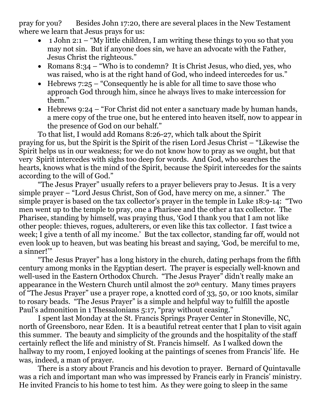pray for you? Besides John 17:20, there are several places in the New Testament where we learn that Jesus prays for us:

- 1 John 2:1 "My little children, I am writing these things to you so that you may not sin. But if anyone does sin, we have an advocate with the Father, Jesus Christ the righteous."
- Romans  $8:34 "Who is to condenn? It is Christ Jesus, who died, yes, who$ was raised, who is at the right hand of God, who indeed intercedes for us."
- $\bullet$  Hebrews 7:25 "Consequently he is able for all time to save those who approach God through him, since he always lives to make intercession for them."
- Hebrews 9:24 "For Christ did not enter a sanctuary made by human hands, a mere copy of the true one, but he entered into heaven itself, now to appear in the presence of God on our behalf."

To that list, I would add Romans 8:26-27, which talk about the Spirit praying for us, but the Spirit is the Spirit of the risen Lord Jesus Christ – "Likewise the Spirit helps us in our weakness; for we do not know how to pray as we ought, but that very Spirit intercedes with sighs too deep for words. And God, who searches the hearts, knows what is the mind of the Spirit, because the Spirit intercedes for the saints according to the will of God."

"The Jesus Prayer" usually refers to a prayer believers pray to Jesus. It is a very simple prayer – "Lord Jesus Christ, Son of God, have mercy on me, a sinner." The simple prayer is based on the tax collector's prayer in the temple in Luke 18:9-14: "Two men went up to the temple to pray, one a Pharisee and the other a tax collector. The Pharisee, standing by himself, was praying thus, 'God I thank you that I am not like other people: thieves, rogues, adulterers, or even like this tax collector. I fast twice a week; I give a tenth of all my income.' But the tax collector, standing far off, would not even look up to heaven, but was beating his breast and saying, 'God, be merciful to me, a sinner!'"

"The Jesus Prayer" has a long history in the church, dating perhaps from the fifth century among monks in the Egyptian desert. The prayer is especially well-known and well-used in the Eastern Orthodox Church. "The Jesus Prayer" didn't really make an appearance in the Western Church until almost the 20th century. Many times prayers of "The Jesus Prayer" use a prayer rope, a knotted cord of 33, 50, or 100 knots, similar to rosary beads. "The Jesus Prayer" is a simple and helpful way to fulfill the apostle Paul's admonition in 1 Thessalonians 5:17, "pray without ceasing."

I spent last Monday at the St. Francis Springs Prayer Center in Stoneville, NC, north of Greensboro, near Eden. It is a beautiful retreat center that I plan to visit again this summer. The beauty and simplicity of the grounds and the hospitality of the staff certainly reflect the life and ministry of St. Francis himself. As I walked down the hallway to my room, I enjoyed looking at the paintings of scenes from Francis' life. He was, indeed, a man of prayer.

There is a story about Francis and his devotion to prayer. Bernard of Quintavalle was a rich and important man who was impressed by Francis early in Francis' ministry. He invited Francis to his home to test him. As they were going to sleep in the same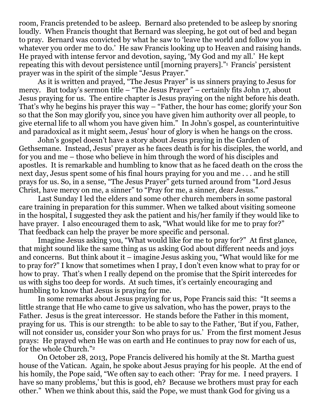room, Francis pretended to be asleep. Bernard also pretended to be asleep by snoring loudly. When Francis thought that Bernard was sleeping, he got out of bed and began to pray. Bernard was convicted by what he saw to 'leave the world and follow you in whatever you order me to do.' He saw Francis looking up to Heaven and raising hands. He prayed with intense fervor and devotion, saying, 'My God and my all.' He kept repeating this with devout persistence until [morning prayers]."<sup>1</sup> Francis' persistent prayer was in the spirit of the simple "Jesus Prayer."

As it is written and prayed, "The Jesus Prayer" is us sinners praying to Jesus for mercy. But today's sermon title – "The Jesus Prayer" – certainly fits John 17, about Jesus praying for us. The entire chapter is Jesus praying on the night before his death. That's why he begins his prayer this way – "Father, the hour has come; glorify your Son so that the Son may glorify you, since you have given him authority over all people, to give eternal life to all whom you have given him." In John's gospel, as counterintuitive and paradoxical as it might seem, Jesus' hour of glory is when he hangs on the cross.

John's gospel doesn't have a story about Jesus praying in the Garden of Gethsemane. Instead, Jesus' prayer as he faces death is for his disciples, the world, and for you and me – those who believe in him through the word of his disciples and apostles. It is remarkable and humbling to know that as he faced death on the cross the next day, Jesus spent some of his final hours praying for you and me . . . and he still prays for us. So, in a sense, "The Jesus Prayer" gets turned around from "Lord Jesus Christ, have mercy on me, a sinner" to "Pray for me, a sinner, dear Jesus."

Last Sunday I led the elders and some other church members in some pastoral care training in preparation for this summer. When we talked about visiting someone in the hospital, I suggested they ask the patient and his/her family if they would like to have prayer. I also encouraged them to ask, "What would like for me to pray for?" That feedback can help the prayer be more specific and personal.

Imagine Jesus asking you, "What would like for me to pray for?" At first glance, that might sound like the same thing as us asking God about different needs and joys and concerns. But think about it – imagine Jesus asking you, "What would like for me to pray for?" I know that sometimes when I pray, I don't even know what to pray for or how to pray. That's when I really depend on the promise that the Spirit intercedes for us with sighs too deep for words. At such times, it's certainly encouraging and humbling to know that Jesus is praying for me.

In some remarks about Jesus praying for us, Pope Francis said this: "It seems a little strange that He who came to give us salvation, who has the power, prays to the Father. Jesus is the great intercessor. He stands before the Father in this moment, praying for us. This is our strength: to be able to say to the Father, 'But if you, Father, will not consider us, consider your Son who prays for us.' From the first moment Jesus prays: He prayed when He was on earth and He continues to pray now for each of us, for the whole Church."<sup>2</sup>

On October 28, 2013, Pope Francis delivered his homily at the St. Martha guest house of the Vatican. Again, he spoke about Jesus praying for his people. At the end of his homily, the Pope said, "We often say to each other: 'Pray for me. I need prayers. I have so many problems,' but this is good, eh? Because we brothers must pray for each other." When we think about this, said the Pope, we must thank God for giving us a